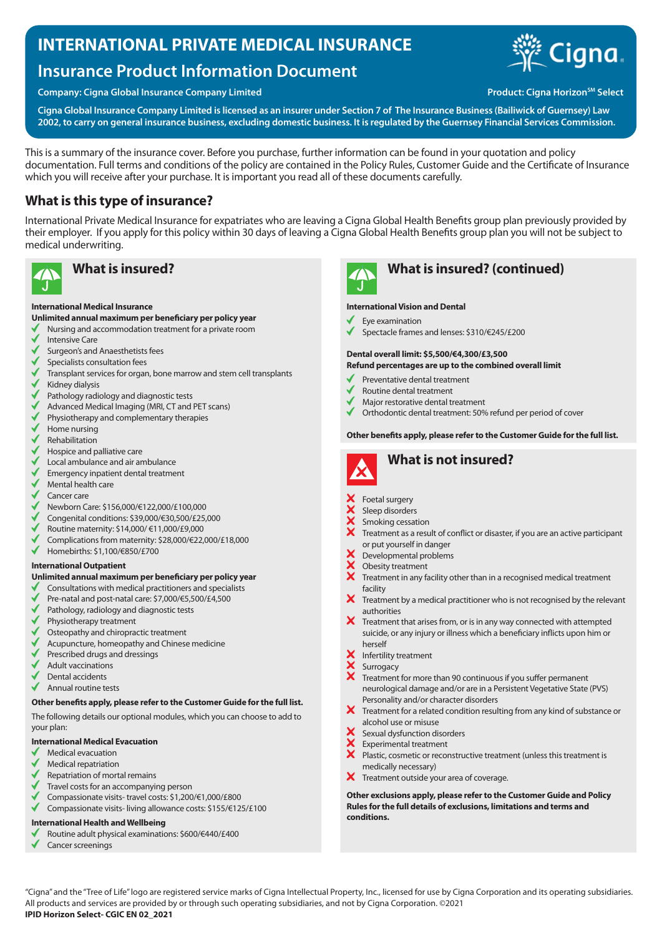# **INTERNATIONAL PRIVATE MEDICAL INSURANCE**

# **Insurance Product Information Document**

### **Company: Cigna Global Insurance Company Limited Company Company: Cigna Horizon<sup>SM</sup> Select**



**Cigna Global Insurance Company Limited is licensed as an insurer under Section 7 of The Insurance Business (Bailiwick of Guernsey) Law 2002, to carry on general insurance business, excluding domestic business. It is regulated by the Guernsey Financial Services Commission.**

This is a summary of the insurance cover. Before you purchase, further information can be found in your quotation and policy documentation. Full terms and conditions of the policy are contained in the Policy Rules, Customer Guide and the Certificate of Insurance which you will receive after your purchase. It is important you read all of these documents carefully.

### **What is this type of insurance?**

International Private Medical Insurance for expatriates who are leaving a Cigna Global Health Benefits group plan previously provided by their employer. If you apply for this policy within 30 days of leaving a Cigna Global Health Benefits group plan you will not be subject to medical underwriting.



#### **International Medical Insurance**

### **Unlimited annual maximum per beneficiary per policy year**

- Nursing and accommodation treatment for a private room
- Intensive Care
- Surgeon's and Anaesthetists fees
- Specialists consultation fees
- Transplant services for organ, bone marrow and stem cell transplants Kidney dialysis
- 
- Pathology radiology and diagnostic tests
- Advanced Medical Imaging (MRI, CT and PET scans)
- Physiotherapy and complementary therapies
- Home nursing
- Rehabilitation
- Hospice and palliative care
- Local ambulance and air ambulance
- Emergency inpatient dental treatment
- Mental health care
- Cancer care
- Newborn Care: \$156,000/€122,000/£100,000
- Congenital conditions: \$39,000/€30,500/£25,000
- Routine maternity: \$14,000/ €11,000/£9,000
- Complications from maternity: \$28,000/€22,000/£18,000
- $\checkmark$ Homebirths: \$1,100/€850/£700

#### **International Outpatient**

#### **Unlimited annual maximum per beneficiary per policy year**

- Consultations with medical practitioners and specialists
- Pre-natal and post-natal care: \$7,000/€5,500/£4,500
- Pathology, radiology and diagnostic tests
- Physiotherapy treatment
- Osteopathy and chiropractic treatment
- Acupuncture, homeopathy and Chinese medicine
- Prescribed drugs and dressings
- Adult vaccinations
- Dental accidents
- Annual routine tests

#### **Other benefits apply, please refer to the Customer Guide for the full list.**

The following details our optional modules, which you can choose to add to your plan:

#### **International Medical Evacuation**

- Medical evacuation
- Medical repatriation
- Repatriation of mortal remains
- Travel costs for an accompanying person
- Compassionate visits- travel costs: \$1,200/€1,000/£800
- Compassionate visits- living allowance costs: \$155/€125/£100

#### **International Health and Wellbeing**

- Routine adult physical examinations: \$600/€440/£400
- Cancer screenings



## **What is insured? What is insured? (continued)**

#### **International Vision and Dental**

- Eye examination
- Spectacle frames and lenses: \$310/€245/£200

### **Dental overall limit: \$5,500/€4,300/£3,500**

#### **Refund percentages are up to the combined overall limit**

- Preventative dental treatment
- Routine dental treatment
- Major restorative dental treatment
- Orthodontic dental treatment: 50% refund per period of cover

#### **Other benefits apply, please refer to the Customer Guide for the full list.**



- Foetal surgery
- Sleep disorders
- Smoking cessation
- Treatment as a result of conflict or disaster, if you are an active participant or put yourself in danger
- Developmental problems
- XXX Obesity treatment
- Treatment in any facility other than in a recognised medical treatment facility
- $\bm{X}$  Treatment by a medical practitioner who is not recognised by the relevant authorities
- $\boldsymbol{\times}$  Treatment that arises from, or is in any way connected with attempted suicide, or any injury or illness which a beneficiary inflicts upon him or herself
- Infertility treatment
- Surrogacy
- Treatment for more than 90 continuous if you suffer permanent neurological damage and/or are in a Persistent Vegetative State (PVS) Personality and/or character disorders
- X Treatment for a related condition resulting from any kind of substance or alcohol use or misuse
- Sexual dysfunction disorders
- Experimental treatment
- $\ddot{\mathbf{x}}$ Plastic, cosmetic or reconstructive treatment (unless this treatment is medically necessary)
- X Treatment outside your area of coverage.

**Other exclusions apply, please refer to the Customer Guide and Policy Rules for the full details of exclusions, limitations and terms and conditions.**

"Cigna" and the "Tree of Life" logo are registered service marks of Cigna Intellectual Property, Inc., licensed for use by Cigna Corporation and its operating subsidiaries. All products and services are provided by or through such operating subsidiaries, and not by Cigna Corporation. ©2021 **IPID Horizon Select- CGIC EN 02\_2021**